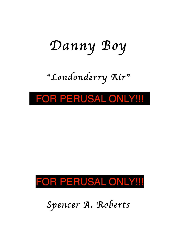# *Danny Boy*

# "*Londonderry Air*"

#### FOR PERUSAL ONLY!!!



*Spencer A. Roberts*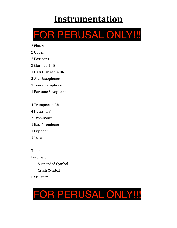## **Instrumentation**



- 2 Flutes
- 2 Oboes
- 2 Bassoons
- 3 Clarinets in Bh
- 1 Bass Clarinet in Bb
- 2 Alto Saxophones
- 1 Tenor Saxophone
- 1 Baritone Saxophone
- 4 Trumpets in Bb
- 4 Horns in F
- 3 Trombones
- 1 Bass Trombone
- 1 Euphonium
- 1 Tuba
- Timpani Percussion:
	- Suspended Cymbal Crash Cymbal
- Bass Drum

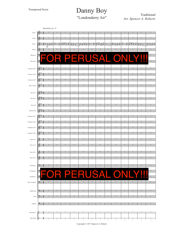### Danny Boy Traditional

*Arr. Spencer A. Roberts* "Londonderry Air"



Copyright © 2017 Spencer A. Roberts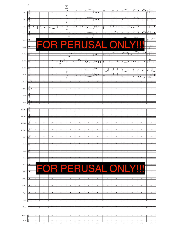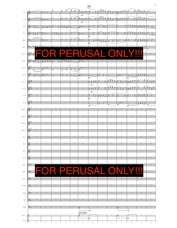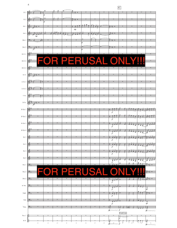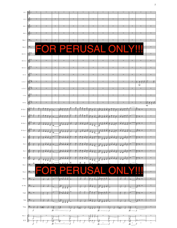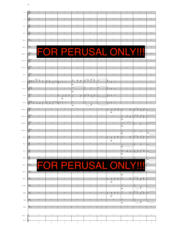